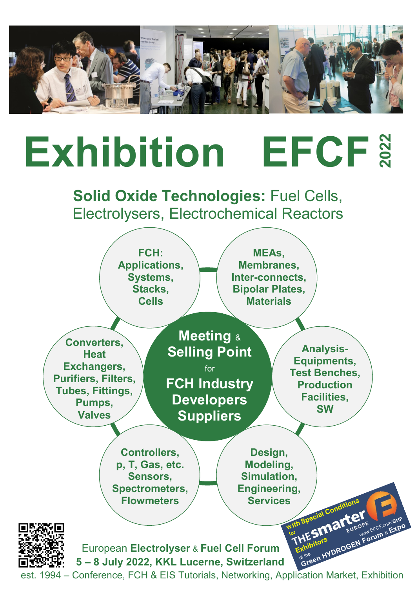

# **Exhibition EFCF**

**Solid Oxide Technologies:** Fuel Cells, Electrolysers, Electrochemical Reactors

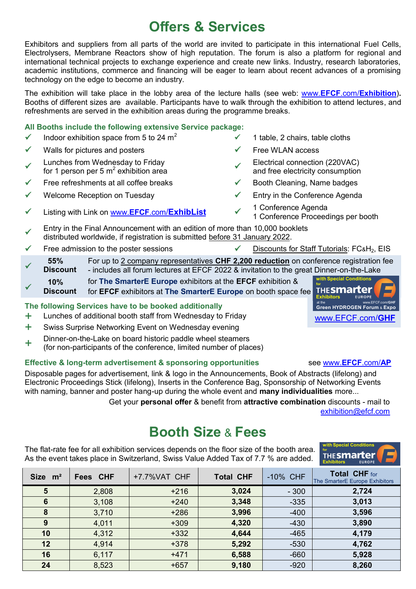# **Offers & Services**

Exhibitors and suppliers from all parts of the world are invited to participate in this international Fuel Cells, Electrolysers, Membrane Reactors show of high reputation. The forum is also a platform for regional and international technical projects to exchange experience and create new links. Industry, research laboratories, academic institutions, commerce and financing will be eager to learn about recent advances of a promising technology on the edge to become an industry.

The exhibition will take place in the lobby area of the lecture halls (see web: www.**EFCF**.com/**[Exhibition](http://www.efcf.com/Exhibition)**)**.** Booths of different sizes are available. Participants have to walk through the exhibition to attend lectures, and refreshments are served in the exhibition areas during the programme breaks.

#### **All Booths include the following extensive Service package:**

- Indoor exhibition space from 5 to 24 m<sup>2</sup>  $\checkmark$  1 table, 2 chairs, table cloths
- Walls for pictures and posters  $\checkmark$  Free WLAN access
- $\checkmark$ Lunches from Wednesday to Friday  $\epsilon$  and the virtual exhibition area  $\sim$
- Free refreshments at all coffee breaks  $\checkmark$  Booth Cleaning, Name badges
- 
- Listing with Link on www.**EFCF**.com/**[ExhibList](http://www.efcf.com/ExhibList)**
- 
- 
- Electrical connection (220VAC) and free electricity consumption
- 
- Welcome Reception on Tuesday  $\checkmark$  Entry in the Conference Agenda
	- 1 Conference Agenda 1 Conference Proceedings per booth
- $\checkmark$ Entry in the Final Announcement with an edition of more than 10,000 booklets distributed worldwide, if registration is submitted before 31 January 2022.
- Free admission to the poster sessions  $\checkmark$  Discounts for Staff Tutorials: FC&H<sub>2</sub>, EIS
- $\checkmark$  **55% Discount** For up to 2 company representatives **CHF 2,200 reduction** on conference registration fee - includes all forum lectures at EFCF 2022 & invitation to the great Dinner-on-the-Lake
- $\checkmark$  **10% Discount** for **The SmarterE Europe** exhibitors at the **EFCF** exhibition & for **EFCF** exhibitors at **The SmarterE Europe** on booth space fee

#### **The following Services have to be booked additionally**

- + Lunches of additional booth staff from Wednesday to Friday<br>+ Swiss Surprise Networking Event on Wednesday evening
- Swiss Surprise Networking Event on Wednesday evening
- + Dinner-on-the-Lake on board historic paddle wheel steamers
- (for non-participants of the conference, limited number of places)

#### **Effective & long-term advertisement & sponsoring opportunities see [www.](http://www.efcf.com/AP)EFCF.com/AP**

Disposable pages for advertisement, link & logo in the Announcements, Book of Abstracts (lifelong) and Electronic Proceedings Stick (lifelong), Inserts in the Conference Bag, Sponsorship of Networking Events with naming, banner and poster hang-up during the whole event and **many individualities** more...

 Get your **personal offer** & benefit from **attractive combination** discounts - mail to [exhibition@efcf.com](mailto:exhibition@efcf.com)

# **Booth Size** & **Fees**

The flat-rate fee for all exhibition services depends on the floor size of the booth area. As the event takes place in Switzerland, Swiss Value Added Tax of 7.7 % are added.

| Size m <sup>2</sup> | <b>Fees CHF</b> | +7.7%VAT CHF | <b>Total CHF</b> | -10% CHF | <b>Total CHF</b> for<br>The SmarterE Europe Exhibitors |
|---------------------|-----------------|--------------|------------------|----------|--------------------------------------------------------|
| 5                   | 2,808           | $+216$       | 3,024            | $-300$   | 2,724                                                  |
| 6                   | 3,108           | $+240$       | 3,348            | $-335$   | 3,013                                                  |
| 8                   | 3,710           | $+286$       | 3,996            | $-400$   | 3,596                                                  |
| 9                   | 4,011           | $+309$       | 4,320            | $-430$   | 3,890                                                  |
| 10                  | 4,312           | $+332$       | 4,644            | $-465$   | 4,179                                                  |
| 12                  | 4,914           | $+378$       | 5,292            | $-530$   | 4,762                                                  |
| 16                  | 6,117           | $+471$       | 6,588            | $-660$   | 5,928                                                  |
| 24                  | 8,523           | $+657$       | 9,180            | $-920$   | 8,260                                                  |



**with Special Conditions** 

**for**

**Exhibitors**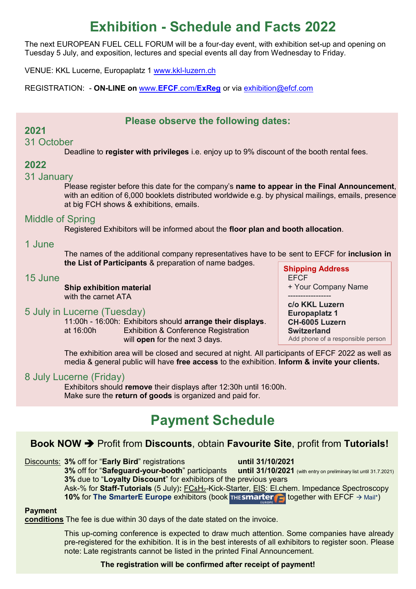# **Exhibition - Schedule and Facts 2022**

The next EUROPEAN FUEL CELL FORUM will be a four-day event, with exhibition set-up and opening on Tuesday 5 July, and exposition, lectures and special events all day from Wednesday to Friday.

VENUE: KKL Lucerne, Europaplatz 1 [www.kkl-luzern.ch](http://www.kkl-luzern.ch/)

REGISTRATION: - **ON-LINE on** www.**EFCF**.com/**[ExReg](http://www.efcf.com/ExReg)** or via [exhibition@efcf.com](mailto:exhibition@efcf.com)

#### **Please observe the following dates:**

#### **2021**

31 October

Deadline to **register with privileges** i.e. enjoy up to 9% discount of the booth rental fees.

#### **2022**

#### 31 January

Please register before this date for the company's **name to appear in the Final Announcement**, with an edition of 6,000 booklets distributed worldwide e.g. by physical mailings, emails, presence at big FCH shows & exhibitions, emails.

#### Middle of Spring

Registered Exhibitors will be informed about the **floor plan and booth allocation**.

#### 1 June

The names of the additional company representatives have to be sent to EFCF for **inclusion in the List of Participants** & preparation of name badges.

#### 15 June

**Ship exhibition material** with the carnet ATA

#### 5 July in Lucerne (Tuesday)

11:00h - 16:00h: Exhibitors should **arrange their displays**. at 16:00h Exhibition & Conference Registration will **open** for the next 3 days.

**Shipping Address** EFCF + Your Company Name

-----------------

**c/o KKL Luzern Europaplatz 1 CH-6005 Luzern Switzerland** Add phone of a responsible person

The exhibition area will be closed and secured at night. All participants of EFCF 2022 as well as media & general public will have **free access** to the exhibition. **Inform & invite your clients.**

#### 8 July Lucerne (Friday)

Exhibitors should **remove** their displays after 12:30h until 16:00h. Make sure the **return of goods** is organized and paid for.

## **Payment Schedule**

### **Book NOW**  $\rightarrow$  **Profit from Discounts**, obtain **Favourite Site**, profit from Tutorials!

Discounts: **3%** off for "**Early Bird**" registrations **until 31/10/2021 3% off for "Safeguard-your-booth" participants 3%** due to "**Loyalty Discount**" for exhibitors of the previous years Ask-% for **Staff-Tutorials** (5 July)**:** FC&H2-Kick-Starter, EIS: El.chem. Impedance Spectroscopy

#### **10%** for **The SmarterE Europe** exhibitors (book **THESMARTER** together with EFCF  $\rightarrow$  Mail\*)

#### **Payment**

**conditions** The fee is due within 30 days of the date stated on the invoice.

This up-coming conference is expected to draw much attention. Some companies have already pre-registered for the exhibition. It is in the best interests of all exhibitors to register soon. Please note: Late registrants cannot be listed in the printed Final Announcement.

#### **The registration will be confirmed after receipt of payment!**